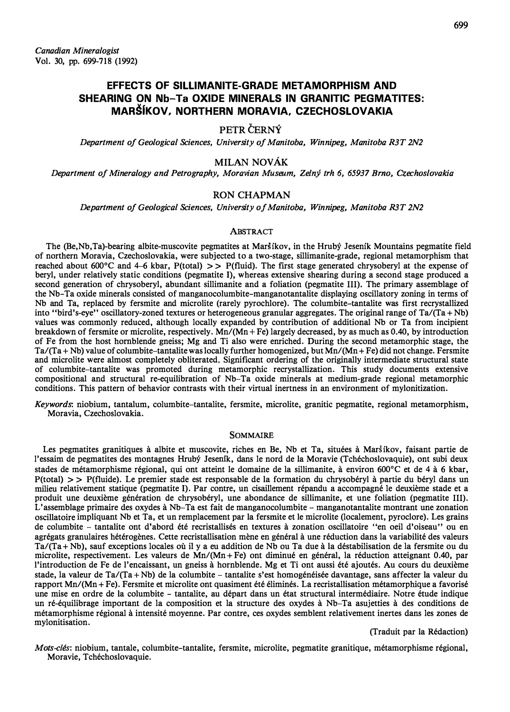# EFFECTS OF SILLIMANITE-GRADE METAMORPHISM AND SHEARING ON Nb-Ta OXIDE MINERALS IN GRANITIC PEGMATITES: MARS(KOV, NORTHERN MORAVIA, CZECHOSLOVAKIA

# PETR CERNÝ

Department of Geological Sciences, University of Manitoba, Winnipeg, Manitoba R3T 2N2

### MILAN NOVAK

Department of Mineralogy and Petrography, Moravian Museum, Zelný trh 6, 65937 Brno, Czechoslovakia

# RON CHAPMAN

Department of Geological Sciences, University of Manitoba, Winnipeg, Manitoba R3T 2N2

#### ABSTRACT

The (Be,Nb,Ta)-bearing albite-muscovite pegmatites at Mar5ikov, in the Hruby Jesenik Mountains pegmatite field of northern Moravia, Czechoslovakia, were subjected to a two-stage, sillimanite-grade, regional metamorphism that reached about 600 $^{\circ}$ C and 4-6 kbar, P(total)  $>>$  P(fluid). The first stage generated chrysoberyl at the expense of beryl, under relatively static conditions (pegmatite 1), whereas extensive shearing during a second stage produced a second generation of chrysoberyl, abundant sillimanite and a foliation (pegmatite III). The primary assemblage of the Nb-Ta oxide minerals consisted of manganocolumbite-manganotantalite displaying oscillatory zoning in terms of Nb and Ta, replaced by fersmite and rnicrolite (rarely pyrochlore). The columbite-tantalite was first recrystallized into "bird's-eye" oscillatory-zoned textures or heterogeneous granular aggregates. The original range of Ta/(Ta + Nb) values was commonly reduced, although locally expanded by contribution of additional Nb or Ta from incipient breakdown of fersmite or microlite, respectively. Mn/(Mn + Fe) largely decreased, by as much as 0.40, by introduction of Fe from the host hornblende gneiss; Mg and Ti also were enriched. During the second metamorphic stage, the  $Ta/(Ta + Nb)$  value of columbite-tantalite was locally further homogenized, but  $Mn/(Mn + Fe)$  did not change. Fersmite and microlite were almost completely obliterated. Significant ordering of the originally intermediate structural state of columbite-tantalite was promoted during metamorphic recrystallization. This study documents extensive compositional and structural re-equilibration of Nb-Ta oxide minerals at medium-grade regional metamorphic conditions. This pattern of behavior contrasts with their virtual inertness in an environment of mylonitization.

Keywords: niobium, tantalum, columbite-tantalite, fersmite, rnicrolite, granitic pegmatite, regional metamorphism, Moravia, Czechoslovakia.

### **SOMMAIRE**

Les pegmatites granitiques à albite et muscovite, riches en Be, Nb et Ta, situées à Maršíkov, faisant partie de l'essaim de pegmatites des montagnes Hrubý Jeseník, dans le nord de la Moravie (Tchéchoslovaquie), ont subi deux stades de métamorphisme régional, qui ont atteint le domaine de la sillimanite, à environ 600°C et de 4 à 6 kbar,  $P(total)$  > >  $P(fluide)$ . Le premier stade est responsable de la formation du chrysoberyl à partie du beryl dans un milieu relativement statique (pegmatite 1). Par contre, un cisaillement repandu a accompagne le deuxieme stade et a produit une deuxieme generation de chrysoberyl, une abondance de sillimanite, et une foliation (pegmatite III). L' assemblage primaire des oxydes a Nb-Ta est fait de manganocolumbite - manganotantalite montrant une zonation oscillatoire impliquant Nb et Ta, et un remplacement par Ia fersrnite et le microlite (localement, pyroclore). Les grains de columbite - tantalite ont d'abord été recristallisés en textures à zonation oscillatoire "en oeil d'oiseau" ou en agrégats granulaires hétérogènes. Cette recristallisation mène en général à une réduction dans la variabilité des valeurs Ta/(Ta + Nb), sauf exceptions locales où il y a eu addition de Nb ou Ta due à la déstabilisation de la fersmite ou du microlite, respectivement. Les valeurs de Mn/(Mn + Fe) ont diminué en général, la réduction atteignant 0.40, par !'introduction de Fe de l'encaissant, un gneiss a hornblende. Mg et Ti ont aussi ete ajoutes. Au cours du deuxieme stade, la valeur de Ta/(Ta+Nb) de la columbite – tantalite s'est homogénéisée davantage, sans affecter la valeur du rapport Mn/(Mn + Fe). Fersmite et microlite ont quasiment été éliminés. La recristallisation métamorphique a favorisé une mise en ordre de Ia columbite - tantalite, au depart dans un etat structural intermediaire. Notre etude indique un re-equilibrage important de Ia composition et Ia structure des oxydes a Nb-Ta asujetties a des conditions de métamorphisme régional à intensité moyenne. Par contre, ces oxydes semblent relativement inertes dans les zones de mylonitisation.

(Traduit par Ia Redaction)

Mots-clés: niobium, tantale, columbite-tantalite, fersmite, microlite, pegmatite granitique, métamorphisme régional, Moravie, Tchéchoslovaquie.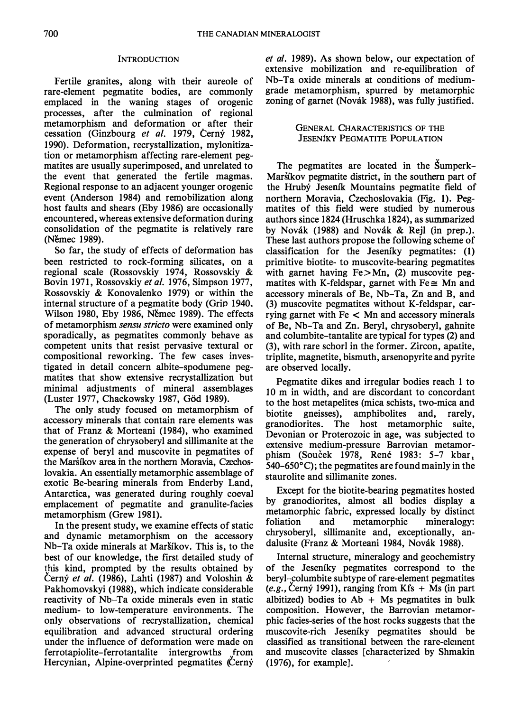### **INTRODUCTION**

Fertile granites, along with their aureole of rare-element pegmatite bodies, are commonly emplaced in the waning stages of orogenic processes, after the culmination of regional metamorphism and deformation or after their cessation (Ginzbourg et al. 1979, Cerný 1982, 1990). Deformation, recrystallization, mylonitization or metamorphism affecting rare-element pegmatites are usually superimposed, and unrelated to the event that generated the fertile magmas. Regional response to an adjacent younger orogenic event (Anderson 1984) and remobilization along host faults and shears (Eby 1986) are occasionally encountered, whereas extensive deformation during consolidation of the pegmatite is relatively rare (Nemec 1989).

So far, the study of effects of deformation has been restricted to rock-forming silicates, on a regional scale (Rossovskiy 1974, Rossovskiy & Bovin 1971, Rossovskiy et al. 1976, Simpson 1977, Rossovskiy & Konovalenko 1979) or within the internal structure of a pegmatite body (Grip 1940, Wilson 1980, Eby 1986, Němec 1989). The effects of metamorphism sensu stricto were examined only sporadically, as pegmatites commonly behave as competent units that resist pervasive textural or compositional reworking. The few cases investigated in detail concern albite-spodumene pegmatites that show extensive recrystallization but minimal adjustments of mineral assemblages (Luster 1977, Chackowsky 1987, Göd 1989).

The only study focused on metamorphism of accessory minerals that contain rare elements was that of Franz & Morteani (1984), who examined the generation of chrysoberyl and sillimanite at the expense of beryl and muscovite in pegmatites of the Marsikov area in the northern Moravia, Czechoslovakia. An essentially metamorphic assemblage of exotic Be-bearing minerals from Enderby Land, Antarctica, was generated during roughly coeval emplacement of pegmatite and granulite-facies metamorphism (Grew 1981).

In the present study, we examine effects of static and dynamic metamorphism on the accessory Nb-Ta oxide minerals at Mar�ikov. This is, to the best of our knowledge, the first detailed study of this kind, prompted by the results obtained by Cerny et al. (1986), Lahti (1987) and Voloshin & Pakhomovskyi (1988), which indicate considerable reactivity of Nb-Ta oxide minerals even in static medium- to low-temperature environments. The only observations of recrystallization, chemical equilibration and advanced structural ordering under the influence of deformation were made on ferrotapiolite-ferrotantalite intergrowths from Hercynian, Alpine-overprinted pegmatites (Cerny et al. 1989). As shown below, our expectation of extensive mobilization and re-equilibration of Nb-Ta oxide minerals at conditions of mediumgrade metamorphism, spurred by metamorphic zoning of garnet (Novák 1988), was fully justified.

### GENERAL CHARACTERISTICS OF THE **JESENIKY PEGMATITE POPULATION**

The pegmatites are located in the Sumperk-Marstkov pegmatite district, in the southern part of the Hruby Jeseník Mountains pegmatite field of northern Moravia, Czechoslovakia (Fig. 1). Pegmatites of this field were studied by numerous authors since 1824 (Hruschka 1824), as summarized by Novák (1988) and Novák & Rejl (in prep.). These last authors propose the following scheme of classification for the Jeseniky pegmatites: (1) primitive biotite- to muscovite-bearing pegmatites with garnet having  $Fe > Mn$ , (2) muscovite pegmatites with K-feldspar, garnet with  $Fe \cong Mn$  and accessory minerals of Be, Nb-Ta, Zn and B, and (3) muscovite pegmatites without K-feldspar, carrying garnet with Fe < Mn and accessory minerals of Be, Nb-Ta and Zn. Beryl, chrysoberyl, gahnite and columbite-tantalite are typical for types (2) and (3), with rare schorl in the former. Zircon, apatite, triplite, magnetite, bismuth, arsenopyrite and pyrite are observed locally.

Pegmatite dikes and irregular bodies reach 1 to 10 m in width, and are discordant to concordant to the host metapelites (mica schists, two-mica and biotite gneisses), amphibolites and, rarely, granodiorites. The host metamorphic suite, Devonian or Proterozoic in age, was subjected to extensive medium-pressure Barrovian metamorphism (Soucek 1978, René 1983: 5-7 kbar, 540-650°C); the pegmatites are found mainly in the staurolite and sillimanite zones.

Except for the biotite-bearing pegmatites hosted by granodiorites, almost all bodies display a metamorphic fabric, expressed locally by distinct foliation and metamorphic mineralogy: chrysoberyl, sillimanite and, exceptionally, andalusite (Franz & Morteani 1984, Novák 1988).

Internal structure, mineralogy and geochemistry of the Jeseniky pegmatites correspond to the beryl-columbite subtype of rare-element pegmatites (e.g., Cerný 1991), ranging from  $Kfs + Ms$  (in part albitized) bodies to  $Ab + Ms$  pegmatites in bulk composition. However, the Barrovian metamorphic facies-series of the host rocks suggests that the muscovite-rich Jeseniky pegmatites should be classified as transitional between the rare-element and muscovite classes [characterized by Shmakin (1976), for example].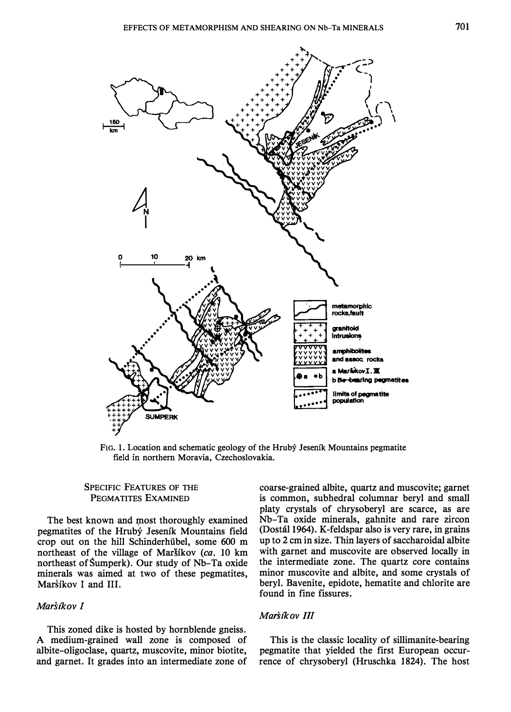

FIG. 1. Location and schematic geology of the Hrubý Jeseník Mountains pegmatite field in northern Moravia, Czechoslovakia.

# SPECIFIC fEATURES OF THE PEGMATITES EXAMINED

The best known and most thoroughly examined pegmatites of the Hruby Jesenik Mountains field crop out on the hill Schinderhiibel, some 600 m northeast of the village of Maršíkov (ca. 10 km northeast of Šumperk). Our study of Nb-Ta oxide minerals was aimed at two of these pegmatites, Maršíkov I and III.

# Marsíkov I

This zoned dike is hosted by hornblende gneiss. A medium-grained wall zone is composed of albite-oligoclase, quartz, muscovite, minor biotite, and garnet. It grades into an intermediate zone of

coarse-grained albite, quartz and muscovite; garnet is common, subhedral columnar beryl and small platy crystals of chrysoberyl are scarce, as are Nb-Ta oxide minerals, gahnite and rare zircon (Dostal 1964). K-feldspar also is very rare, in grains up to 2 em in size. Thin layers of saccharoidal albite with garnet and muscovite are observed locally in the intermediate zone. The quartz core contains minor muscovite and albite, and some crystals of beryl. Bavenite, epidote, hematite and chlorite are found in fine fissures.

### Marsikov III

This is the classic locality of sillimanite-bearing pegmatite that yielded the first European occurrence of chrysoberyl (Hruschka 1824). The host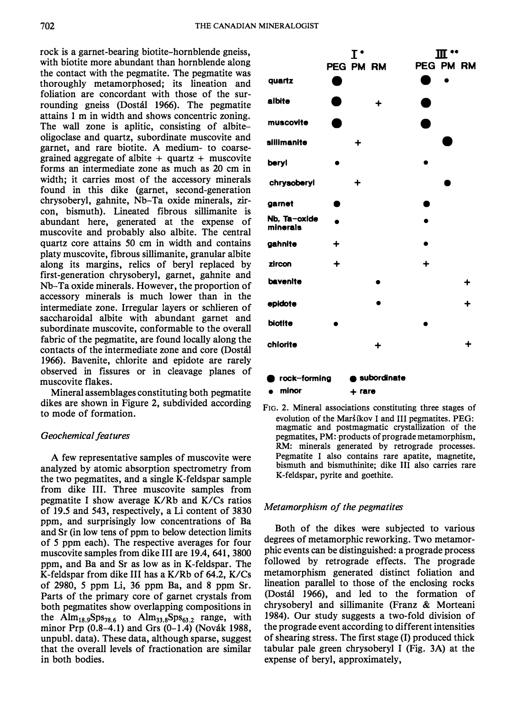702 THE CANADIAN MINERALOGIST

rock is a garnet-bearing biotite-hornblende gneiss, with biotite more abundant than hornblende along the contact with the pegmatite. The pegmatite was thoroughly metamorphosed; its lineation and foliation are concordant with those of the surrounding gneiss (Dostal 1966). The pegmatite attains 1 m in width and shows concentric zoning. The wall zone is aplitic, consisting of albiteoligoclase and quartz, subordinate muscovite and garnet, and rare biotite. A medium- to coarsegrained aggregate of albite  $+$  quartz  $+$  muscovite forms an intermediate zone as much as 20 em in width; it carries most of the accessory minerals found in this dike (garnet, second-generation chrysoberyl, gahnite, Nb-Ta oxide minerals, zircon, bismuth). Lineated fibrous sillimanite is abundant here, generated at the expense of muscovite and probably also albite. The central quartz core attains 50 em in width and contains platy muscovite, fibrous sillimanite, granular albite along its margins, relics of beryl replaced by first-generation chrysoberyl, garnet, gahnite and Nb-Ta oxide minerals. However, the proportion of accessory minerals is much lower than in the intermediate zone. Irregular layers or schlieren of saccharoidal albite with abundant garnet and subordinate muscovite, conformable to the overall fabric of the pegmatite, are found locally along the contacts of the intermediate zone and core (Dostal 1966). Bavenite, chlorite and epidote are rarely observed in fissures or in cleavage planes of muscovite flakes.

Mineral assemblages constituting both pegmatite dikes are shown in Figure 2, subdivided according to mode of formation.

### Geochemical features

A few representative samples of muscovite were analyzed by atomic absorption spectrometry from the two pegmatites, and a single K-feldspar sample from dike III. Three muscovite samples from pegmatite I show average K/Rb and K/Cs ratios of 19.5 and 543, respectively, a Li content of 3830 ppm, and surprisingly low concentrations of Ba and Sr (in low tens of ppm to below detection limits of 5 ppm each). The respective averages for four muscovite samples from dike III are 19.4, 641, 3800 ppm, and Ba and Sr as low as in K-feldspar. The K-feldspar from dike III has a K/Rb of 64.2, K/Cs of 2980, 5 ppm Li, 36 ppm Ba, and 8 ppm Sr. Parts of the primary core of garnet crystals from both pegmatites show overlapping compositions in the Alm<sub>18.9</sub>Sps<sub>78.6</sub> to Alm<sub>33.8</sub>Sps<sub>63.2</sub> range, with minor Prp (0.8-4.1) and Grs (0-1.4) (Novák 1988, unpubl. data). These data, although sparse, suggest that the overall levels of fractionation are similar in both bodies.



FIG. 2. Mineral associations constituting three stages of evolution of the Maršíkov I and III pegmatites. PEG: magmatic and postmagmatic crystallization of the pegmatites, PM: products of prograde metamorphism, RM: minerals generated by retrograde processes. Pegmatite I also contains rare apatite, magnetite, bismuth and bismuthinite; dike III also carries rare K-feldspar, pyrite and goethite.

### Metamorphism of the pegmatites

Both of the dikes were subjected to various degrees of metamorphic reworking. Two metamorphic events can be distinguished: a prograde process followed by retrograde effects. The prograde metamorphism generated distinct foliation and lineation parallel to those of the enclosing rocks (Dostal 1966), and led to the formation of chrysoberyl and sillimanite (Franz & Morteani 1984). Our study suggests a two-fold division of the prograde event according to different intensities of shearing stress. The first stage (I) produced thick tabular pale green chrysoberyl I (Fig. 3A) at the expense of beryl, approximately,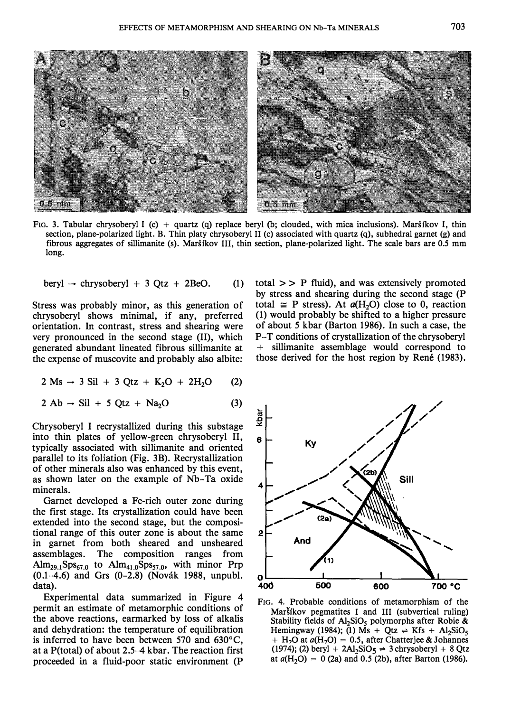

FIG. 3. Tabular chrysoberyl I (c) + quartz (q) replace beryl (b; clouded, with mica inclusions). Maršíkov I, thin section, plane-polarized light. B. Thin platy chrysoberyl II (c) associated with quartz (q), subhedral garnet (g) and fibrous aggregates of sillimanite (s). Marsikov III, thin section, plane-polarized light. The scale bars are 0.5 mm long.

$$
beryl \rightarrow chrysoberyl + 3 Qtz + 2BeO. (1)
$$

Stress was probably minor, as this generation of chrysoberyl shows minimal, if any, preferred orientation. In contrast, stress and shearing were very pronounced in the second stage (II), which generated abundant lineated fibrous sillimanite at the expense of muscovite and probably also albite:

$$
2 \text{ Ms} \rightarrow 3 \text{ Sil} + 3 \text{ Qtz} + \text{K}_2\text{O} + 2\text{H}_2\text{O} \qquad (2)
$$

 $2 \text{ Ab} \rightarrow \text{Sil} + 5 \text{ Otz} + \text{Na}_2\text{O}$  (3)

Chrysoberyl I recrystallized during this substage into thin plates of yellow-green chrysoberyl II, typically associated with sillimanite and oriented parallel to its foliation (Fig. 3B). Recrystallization of other minerals also was enhanced by this event, as shown later on the example of Nb-Ta oxide minerals.

Garnet developed a Fe-rich outer zone during the first stage. Its crystallization could have been extended into the second stage, but the compositional range of this outer zone is about the same in garnet from both sheared and unsheared assemblages. The composition ranges from  $\text{Alm}_{29.1}$ Sps<sub>67.0</sub> to  $\text{Alm}_{41.0}$ Sps<sub>57.0</sub>, with minor Prp (0.1-4.6) and Grs (0-2.8) (Novak 1988, unpubl. data).

Experimental data summarized in Figure 4 permit an estimate of metamorphic conditions of the above reactions, earmarked by loss of alkalis and dehydration: the temperature of equilibration is inferred to have been between 570 and 630°C, at a P(total) of about 2.5-4 kbar. The reaction first proceeded in a fluid-poor static environment (P

total  $>> P$  fluid), and was extensively promoted by stress and shearing during the second stage (P total  $\cong$  P stress). At  $a(H_2O)$  close to 0, reaction  $(1)$  would probably be shifted to a higher pressure of about 5 kbar (Barton 1986). In such a case, the P-T conditions of crystallization of the chrysoberyl + sillimanite assemblage would correspond to those derived for the host region by René (1983).



FIG. 4. Probable conditions of metamorphism of the Marsikov pegmatites I and III (subvertical ruling) Stability fields of  $Al_2SiO_5$  polymorphs after Robie & Hemingway (1984); (1) Ms + Qtz  $\Rightarrow$  Kfs + Al<sub>2</sub>SiO<sub>5</sub> + H<sub>2</sub>O at  $a(H_2O) = 0.5$ , after Chatterjee & Johannes (1974); (2) beryl + 2Al<sub>2</sub>SiO<sub>5</sub>  $\Rightarrow$  3 chrysoberyl + 8 Qtz at  $a(H_2O) = 0$  (2a) and 0.5 (2b), after Barton (1986).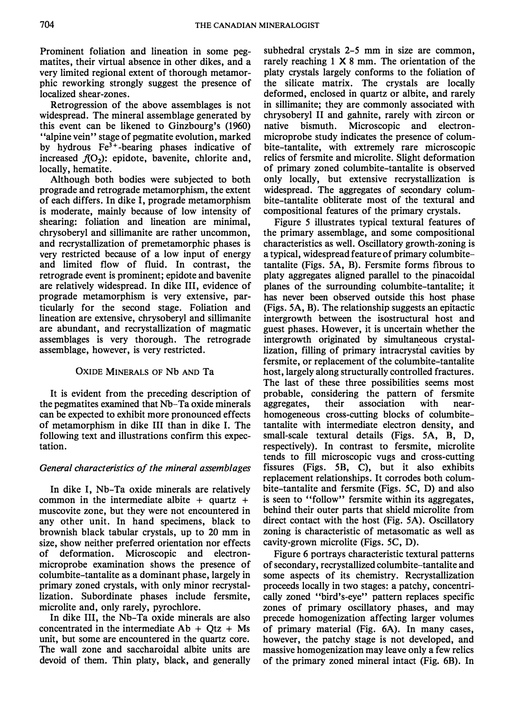Prominent foliation and lineation in some pegmatites, their virtual absence in other dikes, and a very limited regional extent of thorough metamorphic reworking strongly suggest the presence of localized shear-zones.

Retrogression of the above assemblages is not widespread. The mineral assemblage generated by this event can be likened to Ginzbourg's (1960) "alpine vein" stage of pegmatite evolution, marked by hydrous Fe3+ -bearing phases indicative of increased  $f(0<sub>2</sub>)$ : epidote, bavenite, chlorite and, locally, hematite.

Although both bodies were subjected to both prograde and retrograde metamorphism, the extent of each differs. In dike I, prograde metamorphism is moderate, mainly because of low intensity of shearing: foliation and lineation are minimal, chrysoberyl and sillimanite are rather uncommon, and recrystallization of premetamorphic phases is very restricted because of a low input of energy and limited flow of fluid. In contrast, the retrograde event is prominent; epidote and bavenite are relatively widespread. In dike III, evidence of prograde metamorphism is very extensive, particularly for the second stage. Foliation and lineation are extensive, chrysoberyl and sillimanite are abundant, and recrystallization of magmatic assemblages is very thorough. The retrograde assemblage, however, is very restricted.

# OXIDE MINERALS OF Nb AND Ta

It is evident from the preceding description of the pegmatites examined that Nb-Ta oxide minerals can be expected to exhibit more pronounced effects of metamorphism in dike III than in dike I. The following text and illustrations confirm this expectation.

# General characteristics of the mineral assemblages

In dike I, Nb-Ta oxide minerals are relatively common in the intermediate albite  $+$  quartz  $+$ muscovite zone, but they were not encountered in any other unit. In hand specimens, black to brownish black tabular crystals, up to 20 mm in size, show neither preferred orientation nor effects of deformation. Microscopic and electronmicroprobe examination shows the presence of columbite-tantalite as a dominant phase, largely in primary zoned crystals, with only minor recrystallization. Subordinate phases include fersmite, microlite and, only rarely, pyrochlore.

In dike Ill, the Nb-Ta oxide minerals are also concentrated in the intermediate  $Ab + Otz + Ms$ unit, but some are encountered in the quartz core. The wall zone and saccharoidal albite units are devoid of them. Thin platy, black, and generally subhedral crystals 2-5 mm in size are common, rarely reaching  $1 \times 8$  mm. The orientation of the platy crystals largely conforms to the foliation of the silicate matrix. The crystals are locally deformed, enclosed in quartz or albite, and rarely in sillimanite; they are commonly associated with chrysoberyl II and gahnite, rarely with zircon or native bismuth. Microscopic and electronmicroprobe study indicates the presence of columbite-tantalite, with extremely rare microscopic relics of fersmite and microlite. Slight deformation of primary zoned columbite-tantalite is observed only locally, but extensive recrystallization is widespread. The aggregates of secondary columbite-tantalite obliterate most of the textural and compositional features of the primary crystals.

Figure 5 illustrates typical textural features of the primary assemblage, and some compositional characteristics as well. Oscillatory growth-zoning is a typical, widespread feature of primary columbitetantalite (Figs. 5A, B). Fersmite forms fibrous to platy aggregates aligned parallel to the pinacoidal planes of the surrounding columbite-tantalite; it has never been observed outside this host phase (Figs. 5A, B). The relationship suggests an epitactic intergrowth between the isostructural host and guest phases. However, it is uncertain whether the intergrowth originated by simultaneous crystallization, filling of primary intracrystal cavities by fersmite, or replacement of the columbite-tantalite host, largely along structurally controlled fractures. The last of these three possibilities seems most probable, considering the pattern of fersmite aggregates, their association with nearhomogeneous cross-cutting blocks of columbitetantalite with intermediate electron density, and small-scale textural details (Figs. 5A, B, D, respectively). In contrast to fersmite, microlite tends to fill microscopic vugs and cross-cutting fissures (Figs. 5B, C), but it also exhibits replacement relationships. It corrodes both columbite-tantalite and fersmite (Figs. 5C, D) and also is seen to "follow" fersmite within its aggregates, behind their outer parts that shield microlite from direct contact with the host (Fig. 5A). Oscillatory zoning is characteristic of metasomatic as well as cavity-grown microlite (Figs. 5C, D).

Figure 6 portrays characteristic textural patterns of secondary, recrystallized columbite-tantalite and some aspects of its chemistry. Recrystallization proceeds locally in two stages: a patchy, concentrically zoned "bird's-eye" pattern replaces specific zones of primary oscillatory phases, and may precede homogenization affecting larger volumes of primary material (Fig. 6A). In many cases, however, the patchy stage is not developed, and massive homogenization may leave only a few relics of the primary zoned mineral intact (Fig. 6B). In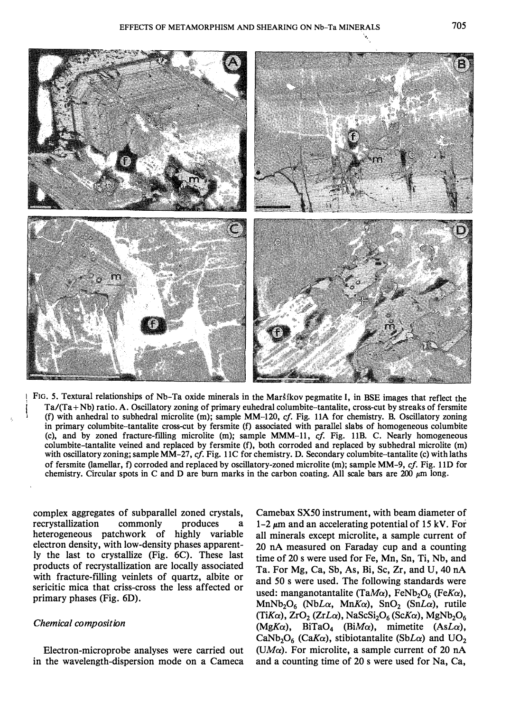

\ FIG. 5. Textural relationships of Nb-Ta oxide minerals in the MarSikov pegmatite I, in BSE images that reflect the  $Ta/(Ta + Nb)$  ratio. A. Oscillatory zoning of primary euhedral columbite-tantalite, cross-cut by streaks of fersmite (f) with anhedral to subhedral microlite (m); sample MM-120, cf. Fig. llA for chemistry. B. Oscillatory zoning in primary columbite-tantalite cross-cut by fersmite (f) associated with parallel slabs of homogeneous columbite (c), and by zoned fracture-filling microlite (m); sample MMM-11, cj. Fig. llB. C. Nearly homogeneous columbite-tantalite veined and replaced by fersmite (f), both corroded and replaced by subhedral microlite (m) with oscillatory zoning; sample MM-27, cf. Fig. 11C for chemistry. D. Secondary columbite-tantalite (c) with laths of fersmite (lamellar, f) corroded and replaced by oscillatory-zoned microlite (m); sample MM-9, cf. Fig. llD for chemistry. Circular spots in C and D are burn marks in the carbon coating. All scale bars are 200  $\mu$ m long.

complex aggregates of subparallel zoned crystals, recrystallization commonly produces a heterogeneous patchwork of highly variable electron density, with low-density phases apparently the last to crystallize (Fig. 6C). These last products of recrystallization are locally associated with fracture-filling veinlets of quartz, albite or sericitic mica that criss-cross the less affected or primary phases (Fig. 6D).

### Chemical composition

Electron-microprobe analyses were carried out in the wavelength-dispersion mode on a Cameca

Camebax SXSO instrument, with beam diameter of 1-2  $\mu$ m and an accelerating potential of 15 kV. For all minerals except microlite, a sample current of 20 nA measured on Faraday cup and a counting time of 20 s were used for Fe, Mn, Sn, Ti, Nb, and Ta. For Mg, Ca, Sb, As, Bi, Sc, Zr, and U, 40 nA and 50 s were used. The following standards were used: manganotantalite (TaM $\alpha$ ), FeNb<sub>2</sub>O<sub>6</sub> (FeK $\alpha$ ), MnNb<sub>2</sub>O<sub>6</sub> (NbL $\alpha$ , MnK $\alpha$ ), SnO<sub>2</sub> (SnL $\alpha$ ), rutile (TiK $\alpha$ ), ZrO<sub>2</sub> (ZrL $\alpha$ ), NaScSi<sub>2</sub>O<sub>6</sub> (ScK $\alpha$ ), MgNb<sub>2</sub>O<sub>6</sub>  $(MgK\alpha)$ , BiTaO<sub>4</sub> (BiM $\alpha$ ), mimetite (AsL $\alpha$ ), CaNb<sub>2</sub>O<sub>6</sub> (CaK $\alpha$ ), stibiotantalite (SbL $\alpha$ ) and UO<sub>2</sub> (UM $\alpha$ ). For microlite, a sample current of 20 nA and a counting time of 20 s were used for Na, Ca,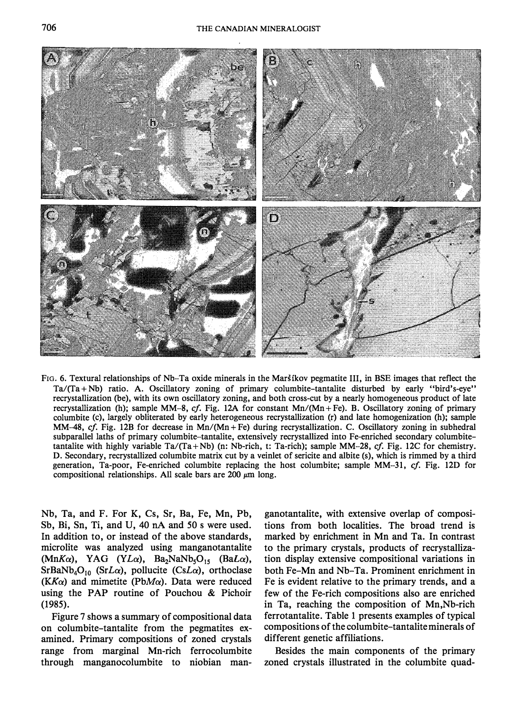

Fro. 6. Textural relationships of Nb-Ta oxide minerals in the Marsikov pegmatite III, in BSE images that reflect the  $Ta/(Ta + Nb)$  ratio. A. Oscillatory zoning of primary columbite-tantalite disturbed by early "bird's-eye" recrystallization (be), with its own oscillatory zoning, and both cross-cut by a nearly homogeneous product of late recrystallization (h); sample MM-8, cf. Fig. 12A for constant  $Mn/(Mn+Fe)$ . B. Oscillatory zoning of primary columbite (c), largely obliterated by early heterogeneous recrystallization (r) and late homogenization (h); sample MM-48, cf. Fig. 12B for decrease in Mn/(Mn + Fe) during recrystallization. C. Oscillatory zoning in subhedral subparallel laths of primary columbite-tantalite, extensively recrystallized into Fe-enriched secondary columbitetantalite with highly variable Ta/(Ta + Nb) (n: Nb-rich, t: Ta-rich); sample MM-28, cf. Fig. 12C for chemistry. D. Secondary, recrystallized columbite matrix cut by a veinlet of sericite and albite (s), which is rimmed by a third generation, Ta-poor, Fe-enriched columbite replacing the host columbite; sample MM-31, cf. Fig. 12D for compositional relationships. All scale bars are 200  $\mu$ m long.

Nb, Ta, and F. For K, Cs, Sr, Ba, Fe, Mn, Pb, Sb, Bi, Sn, Ti, and U, 40 nA and 50 s were used. In addition to, or instead of the above standards, microlite was analyzed using manganotantalite  $(MnK\alpha)$ , YAG (YL $\alpha$ ), Ba<sub>2</sub>NaNb<sub>5</sub>O<sub>15</sub> (BaL $\alpha$ ),  $SrBaNb<sub>4</sub>O<sub>10</sub>$  (SrL $\alpha$ ), pollucite (CsL $\alpha$ ), orthoclase  $(KK_{\alpha})$  and mimetite (PbM $\alpha$ ). Data were reduced using the PAP routine of Pouchou  $&$  Pichoir (1985).

Figure 7 shows a summary of compositional data on columbite-tantalite from the pegmatites examined. Primary compositions of zoned crystals range from marginal Mn-rich ferrocolumbite through manganocolumbite to niobian man-

ganotantalite, with extensive overlap of compositions from both localities. The broad trend is marked by enrichment in Mn and Ta. In contrast to the primary crystals, products of recrystallization display extensive compositional variations in both Fe-Mn and Nb-Ta. Prominent enrichment in Fe is evident relative to the primary trends, and a few of the Fe-rich compositions also are enriched in Ta, reaching the composition of Mn,Nb-rich ferrotantalite. Table 1 presents examples of typical compositions of the columbite-tantalite minerals of different genetic affiliations.

Besides the main components of the primary zoned crystals illustrated in the columbite quad-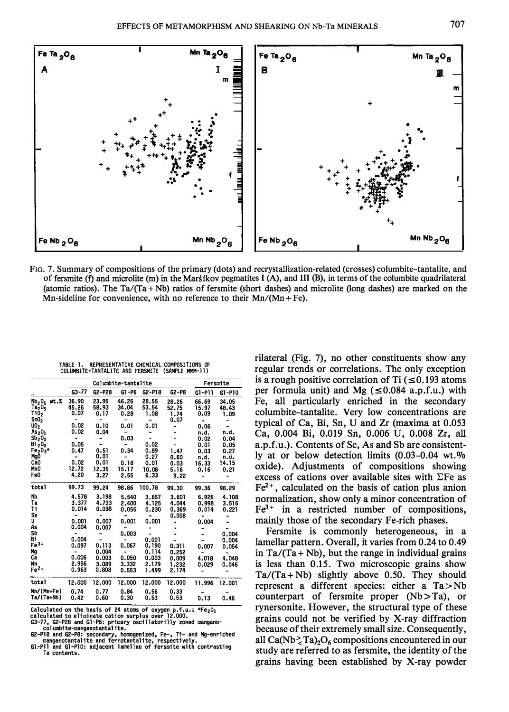

FIG. 7. Summary of compositions of the primary (dots) and recrystallization-related (crosses) columbite-tantalite, and of fersmite (f) and microlite (m) in the Marst kov pegmatites I (A), and III (B), in terms of the columbite quadrilateral (atomic ratios). The  $Ta/(Ta + Nb)$  ratios of fersmite (short dashes) and microlite (long dashes) are marked on the Mn-sideline for convenience, with no reference to their  $Mn/(Mn + Fe)$ .

|                                      | Columbite-tantalite |        |           |            |         | Fersmite       |        |
|--------------------------------------|---------------------|--------|-----------|------------|---------|----------------|--------|
|                                      | $G3 - 77$           | G2-P28 | $G1 - P6$ | $G2 - P18$ | $G2-P8$ | G1-P11         | G1-P10 |
| Nb <sub>2</sub> O <sub>5</sub> wt. % | 36.90               | 23.95  | 46.26     | 28.55      | 28.26   | 66.69          | 34.05  |
| $Ta_2^-0_5^-$                        | 45.26               | 58.93  | 34.04     | 53.54      | 52.75   | 15.97          | 48.43  |
| Ti02                                 | 0.07                | 0.17   | 0.28      | 1.08       | 1.74    | 0.09           | 1.09   |
| SnO <sub>2</sub>                     |                     |        | ٠         |            | 0.07    | ÷              |        |
| 10 <sub>2</sub>                      | 0.02                | 0.10   | 0.01      | 0.01       |         | 0.06           |        |
| As <sub>2</sub> 0 <sub>3</sub>       | 0.02                | 0.04   | ٠         |            |         | n.d.           | n.d.   |
| $Sb_20_3$                            |                     |        | 0.03      |            |         | 0.02           | 0.04   |
| $B1_20_3$                            | 0.05                |        | ۰         | 0.02       |         | 0.01           | 0.05   |
| $Fe2O3$ *                            | 0.47                | 0.51   | 0.34      | 0.89       | 1.47    | 0.03           | 0.27   |
| MgO                                  | $\blacksquare$      | 0.01   | -         | 0.27       | 0.60    | n.d.           | n.d.   |
| Ca <sub>0</sub>                      | 0.02                | 0.01   | 0.18      | 0.01       | 0.03    | 16.33          | 14.15  |
| MnO                                  | 12.72               | 12.35  | 15.17     | 10.08      | 5.16    | 0.16           | 0.21   |
| Fe0                                  | 4.20                | 3.27   | 2,55      | 6.33       | 9.22    |                |        |
|                                      |                     |        |           |            |         |                |        |
| total                                | 99.73               | 99.24  | 98.86     | 100.78     | 99.30   | 99.36          | 98.29  |
| <b>Nb</b>                            | 4.578               | 3.198  | 5.540     | 3.657      | 3.601   | 6.926          | 4.108  |
| Ta                                   | 3.377               | 4.733  | 2.400     | 4.125      | 4.044   | 0.998          | 3.516  |
| Ti                                   | 0.014               | 0.038  | 0.055     | 0.230      | 0.369   | 0.014          | 0.221  |
| Sn                                   |                     |        |           | ٠          | 0.008   |                |        |
| IJ                                   | 0.001               | 0.007  | 0.001     | 0.001      |         | 0.004          |        |
| As                                   | 0.004               | 0.007  |           |            |         |                |        |
| Sb                                   |                     |        | 0.003     |            |         |                | 0.004  |
| Bi                                   | 0.004               |        |           | 0.001      |         |                | 0.004  |
| Fe <sup>3+</sup>                     | 0.097               | 0.113  | 0.067     | 0.190      | 0.311   | 0.007          | 0.054  |
| Mg                                   | ٠                   | 0.004  | ٠         | 0.114      | 0.252   | $\blacksquare$ |        |
| Cā                                   | 0.006               | 0.003  | 0.050     | 0.003      | 0.009   | 4.018          | 4.048  |
| Mn                                   | 2.956               | 3.089  | 3.332     | 2.179      | 1.232   | 0.029          | 0.046  |
| Fe <sup>2+</sup>                     | 0.963               | 0.808  | 0.553     | 1.499      | 2.174   |                |        |
| total                                | 12.000              | 12.000 | 12.000    | 12.000     | 12.000  | 11.996         | 12.001 |
| Mn/(Mn+Fe)                           | 0.74                | 0.77   | 0.84      | 0.56       | 0.33    |                |        |
| Ta/(Ta+Nb)                           | 0.42                | 0.60   | 0.30      | 0.53       | 0.53    | 0.13           | 0.46   |

IABLE 1. REPRESENTATIVE CHEMICAL COMPOSITIONS OF COLUMBITE-TANTALITE AND FERSMITE (SAMPLE MMM-11)

Calculated on the basis of 24 atoms of oxygen p.f.u.; \*Fe<sub>2</sub>O<sub>3</sub><br>calculated to eliminate cation surplus over 12.000.

G3-77, G2-P28 and Gl-P6: primary oscillatorilly zoned mangano-<br>columbite-manganotantalite.

G2-Pl8 and G2-P8: secondary, homogenized, Fe-, Ti- and Mg-enriched manganotantalite and ferrotantalite, respectively. Gl-Pll and Gl-PlO: adjacent lamellae of fersmite with contrasting Ta contents.

rilateral (Fig. 7), no other constituents show any regular trends or correlations. The only exception is a rough positive correlation of Ti  $(\leq 0.193$  atoms per formula unit) and Mg ( $\leq 0.084$  a.p.f.u.) with Fe, all particularly enriched in the secondary columbite-tantalite. Very low concentrations are typical of Ca, Bi, Sn, U and Zr (maxima at 0.053 Ca, 0.004 Bi, 0.019 Sn, 0.006 U, 0.008 Zr, all a.p.f.u.). Contents of Sc, As and Sb are consistently at or below detection limits  $(0.03-0.04 \text{ wt.})\%$ oxide). Adjustments of compositions showing excess of cations over available sites with  $\Sigma$ Fe as  $Fe<sup>2+</sup>$ , calculated on the basis of cation plus anion normalization, show only a minor concentration of  $Fe<sup>3+</sup>$  in a restricted number of compositions, mainly those of the secondary Fe-rich phases.

Fersmite is commonly heterogeneous, in a lamellar pattern. Overall, it varies from 0.24 to 0.49 in Ta/ $(Ta + Nb)$ , but the range in individual grains is less than 0.15. Two microscopic grains show  $Ta/(Ta + Nb)$  slightly above 0.50. They should represent a different species: either a  $Ta > Nb$ counterpart of fersmite proper (Nb > Ta), or rynersonite. However, the structural type of these grains could not be verified by X-ray diffraction because of their extremely small size. Consequently, all Ca(Nb $\geq$ Ta)<sub>2</sub>O<sub>6</sub> compositions encountered in our study are referred to as fersmite, the identity of the grains having been established by X-ray powder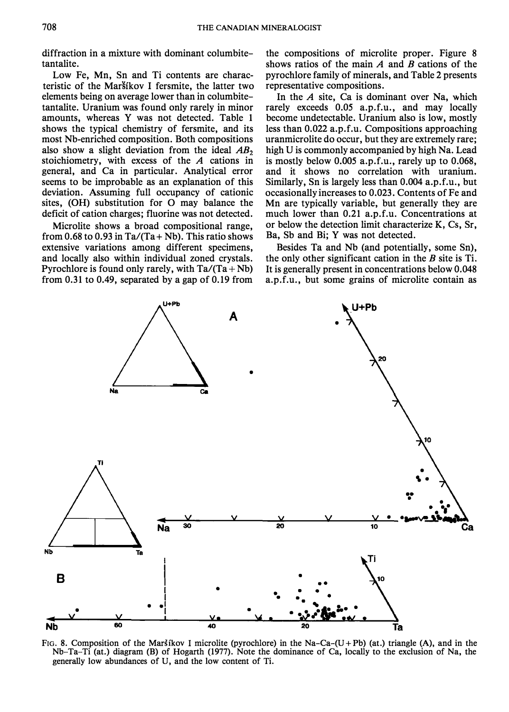diffraction in a mixture with dominant columbitetantalite.

Low Fe, Mn, Sn and Ti contents are characteristic of the Marsíkov I fersmite, the latter two elements being on average lower than in columbitetantalite. Uranium was found only rarely in minor amounts, whereas Y was not detected. Table 1 shows the typical chemistry of fersmite, and its most Nb-enriched composition. Both compositions also show a slight deviation from the ideal  $AB_2$ stoichiometry, with excess of the  $A$  cations in general, and Ca in particular. Analytical error seems to be improbable as an explanation of this deviation. Assuming full occupancy of cationic sites, (OH) substitution for 0 may balance the deficit of cation charges; fluorine was not detected.

Microlite shows a broad compositional range, from 0.68 to 0.93 in Ta/(Ta + Nb). This ratio shows extensive variations among different specimens, and locally also within individual zoned crystals. Pyrochlore is found only rarely, with  $Ta/(Ta + Nb)$ from 0.31 to 0.49, separated by a gap of 0.19 from

the compositions of microlite proper. Figure 8 shows ratios of the main  $A$  and  $B$  cations of the pyrochlore family of minerals, and Table 2 presents representative compositions.

In the  $A$  site, Ca is dominant over Na, which rarely exceeds 0.05 a.p.f.u., and may locally become undetectable. Uranium also is low, mostly less than 0.022 a.p.f.u. Compositions approaching uranmicrolite do occur, but they are extremely rare; high U is commonly accompanied by high Na. Lead is mostly below 0.005 a.p.f.u., rarely up to 0.068, and it shows no correlation with uranium. Similarly, Sn is largely less than 0.004 a.p.f.u., but occasionally increases to 0.023. Contents of Fe and Mn are typically variable, but generally they are much lower than 0.21 a.p.f.u. Concentrations at or below the detection limit characterize K, Cs, Sr, Ba, Sb and Bi; Y was not detected.

Besides Ta and Nb (and potentially, some Sn), the only other significant cation in the  $B$  site is Ti. It is generally present in concentrations below 0.048 a.p.f.u., but some grains of microlite contain as



FIG. 8. Composition of the Maršíkov I microlite (pyrochlore) in the Na-Ca-(U+Pb) (at.) triangle (A), and in the Nb-Ta-Ti (at.) diagram (B) of Hogarth (1977). Note the dominance of Ca, locally to the exclusion of Na, the generally low abundances of U, and the low content of Ti.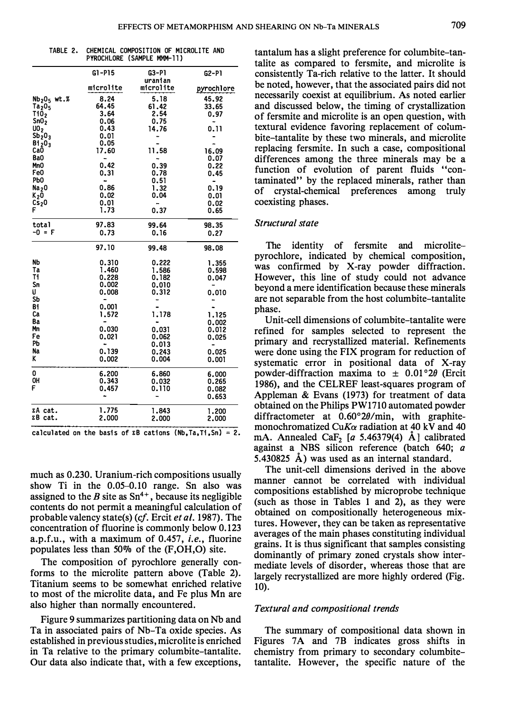TABLE 2. CHEMICAL COMPOSITION OF MICROLITE AND<br>PYROCHLORE (SAMPLE MMM-11)

|                                      | $G1 - P15$ | G3-P1     | $G2-P1$    |
|--------------------------------------|------------|-----------|------------|
|                                      |            | uranian   |            |
|                                      | microlite  | microlite | pyrochlore |
| Nb <sub>2</sub> O <sub>5</sub> wt. % | 8.24       | 5.18      | 45.92      |
| Ta <sub>2</sub> 0 <sub>5</sub>       | 64.45      | 61.42     | 33.65      |
| TiŌ,                                 | 3.64       | 2.54      | 0.97       |
| SnO <sub>2</sub>                     | 0.06       | 0.75      |            |
| UO <sub>2</sub>                      | 0.43       | 14.76     | 0.11       |
| $Sb_2 0_3$                           | 0.01       |           |            |
| B1203                                | 0.05       |           |            |
| CaŌ                                  | 17.60      | 11.58     | 16.09      |
| Ba0                                  |            |           | 0.07       |
| Mn <sub>0</sub>                      | 0.42       | 0.39      | 0.22       |
| Fe0                                  | 0.31       | 0.78      | 0.45       |
| PЬO                                  | ۰.         | 0.51      |            |
| Na <sub>2</sub> 0                    | 0.86       | 1.32      | 0.19       |
| K <sub>2</sub> 0                     | 0.02       | 0.04      | 0.01       |
| Cs <sub>2</sub> 0                    | 0.01       |           | 0.02       |
| F                                    | 1.73       | 0.37      | 0.65       |
| total                                | 97.83      | 99.64     | 98.35      |
| -0 = F                               | 0.73       | 0.16      | 0.27       |
|                                      | 97.10      | 99.48     | 98.08      |
| NЬ                                   | 0.310      | 0.222     | 1.355      |
| Ta                                   | 1.460      | 1.586     | 0.598      |
| Τi                                   | 0.228      | 0.182     | 0.047      |
| Sn                                   | 0.002      | 0.010     |            |
| U                                    | 0.008      | 0.312     | 0.010      |
| SЬ                                   |            |           |            |
| Bi                                   | 0.001      |           |            |
| Ca                                   | 1.572      | 1.178     | 1.125      |
| Ba                                   |            |           | 0.002      |
| Mn                                   | 0.030      | 0.031     | 0.012      |
| Fe                                   | 0.021      | 0.062     | 0.025      |
| PЬ                                   |            | 0.013     |            |
| Na                                   | 0.139      | 0.243     | 0.025      |
| ĸ                                    | 0.002      | 0.004     | 0.001      |
| 0                                    | 6.200      | 6.860     | 6.000      |
| OH                                   | 0.343      | 0.032     | 0.265      |
| F                                    | 0.457      | 0.110     | 0.082      |
|                                      |            |           | 0.653      |
| ΣA cat.                              | 1.775      | 1.843     | 1.200      |
| ΣB cat.                              | 2.000      | 2,000     | 2.000      |
|                                      |            |           |            |

calculated on the basis of  $\bar{x}B$  cations (Nb, Ta, Ti, Sn) = 2.

much as 0.230. Uranium-rich compositions usually show Ti in the 0.05-0.10 range. Sn also was assigned to the B site as  $Sn^{4+}$ , because its negligible contents do not permit a meaningful calculation of probable valency state(s) (cf. Ercit et al. 1987). The concentration of fluorine is commonly below 0.123 a.p.f.u., with a maximum of 0.457, i.e., fluorine populates less than 50% of the  $(F,OH, O)$  site.

The composition of pyrochlore generally conforms to the microlite pattern above (Table 2). Titanium seems to be somewhat enriched relative to most of the microlite data, and Fe plus Mn are also higher than normally encountered.

Figure 9 summarizes partitioning data on Nb and Ta in associated pairs of Nb-Ta oxide species. As established in previous studies, microlite is enriched in Ta relative to the primary columbite-tantalite. Our data also indicate that, with a few exceptions,

tantalum has a slight preference for columbite-tantalite as compared to fersmite, and microlite is consistently Ta-rich relative to the latter. It should be noted, however, that the associated pairs did not necessarily coexist at equilibrium. As noted earlier and discussed below, the timing of crystallization of fersmite and microlite is an open question, with textural evidence favoring replacement of columbite-tantalite by these two minerals, and microlite replacing fersmite. In such a case, compositional differences among the three minerals may be a function of evolution of parent fluids "contaminated" by the replaced minerals, rather than of crystal-chemical preferences among truly coexisting phases.

# Structural state

The identity of fersmite and microlitepyrochlore, indicated by chemical composition, was confirmed by X-ray powder diffraction. However, this line of study could not advance beyond a mere identification because these minerals are not separable from the host columbite-tantalite phase.

Unit-cell dimensions of columbite-tantalite were refined for samples selected to represent the primary and recrystallized material. Refinements were done using the FIX program for reduction of systematic error in positional data of X-ray powder-diffraction maxima to  $\pm$  0.01°2 $\theta$  (Ercit 1986), and the CELREF least-squares program of Appleman & Evans (1973) for treatment of data obtained on the Philips PW1710 automated powder diffractometer at 0.60°20/min, with graphitemonochromatized CuK $\alpha$  radiation at 40 kV and 40 mA. Annealed CaF<sub>2</sub> [a 5.46379(4)  $\AA$ ] calibrated against a NBS silicon reference (batch 640; a 5.430825 A) was used as an internal standard.

The unit-cell dimensions derived in the above manner cannot be correlated with individual compositions established by microprobe technique (such as those in Tables 1 and 2), as they were obtained on compositionally heterogeneous mixtures. However, they can be taken as representative averages of the main phases constituting individual grains. It is thus significant that samples consisting dominantly of primary zoned crystals show intermediate levels of disorder, whereas those that are largely recrystallized are more highly ordered (Fig. 10).

### Textural and compositional trends

The summary of compositional data shown in Figures 7A and 7B indicates gross shifts in chemistry from primary to secondary columbitetantalite. However, the specific nature of the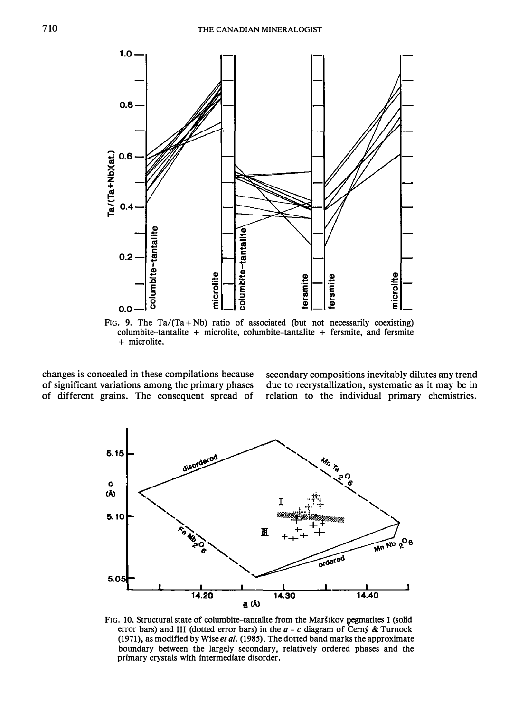

FIG. 9. The Ta/(Ta + Nb) ratio of associated (but not necessarily coexisting) columbite-tantalite + microlite, columbite-tantalite + fersmite, and fersmite + microlite.

changes is concealed in these compilations because of significant variations among the primary phases of different grains. The consequent spread of secondary compositions inevitably dilutes any trend due to recrystallization, systematic as it may be in relation to the individual primary chemistries.



FIG. 10. Structural state of columbite-tantalite from the Maršíkov pegmatites I (solid error bars) and III (dotted error bars) in the  $a - c$  diagram of Cerny & Turnock (1971), as modified by Wise et al. (1985). The dotted band marks the approximate boundary between the largely secondary, relatively ordered phases and the primary crystals with intermediate disorder.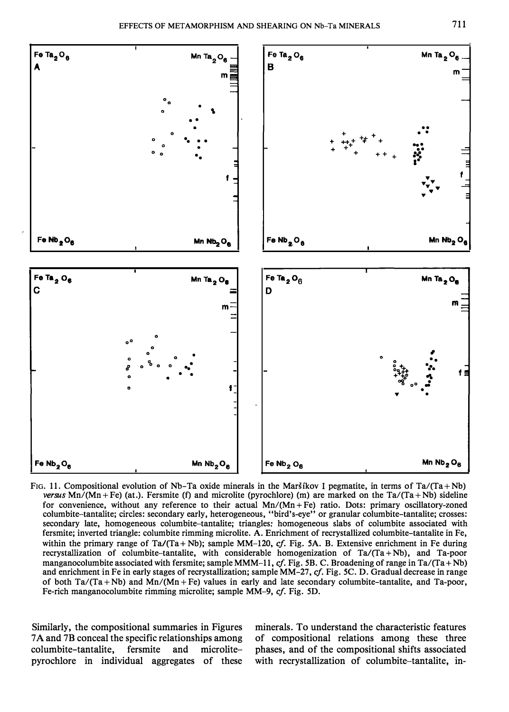

FIG. 11. Compositional evolution of Nb-Ta oxide minerals in the Marstkov I pegmatite, in terms of Ta/(Ta+Nb) versus Mn/(Mn+Fe) (at.). Fersmite (f) and microlite (pyrochlore) (m) are marked on the Ta/(Ta+Nb) sideline for convenience, without any reference to their actual  $Mn/(Mn + Fe)$  ratio. Dots: primary oscillatory-zoned columbite-tantalite; circles: secondary early, heterogeneous, "bird's-eye" or granular columbite-tantalite; crosses: secondary late, homogeneous columbite-tantalite; triangles: homogeneous slabs of columbite associated with fersmite; inverted triangle: columbite rimming microlite. A. Enrichment of recrystallized columbite-tantalite in Fe, within the primary range of Ta/(Ta + Nb); sample MM-120, cf. Fig. 5A. B. Extensive enrichment in Fe during recrystallization of columbite-tantalite, with considerable homogenization of  $Ta/(Ta + Nb)$ , and  $Ta$ -poor manganocolumbite associated with fersmite; sample MMM-11, cf. Fig. 5B. C. Broadening of range in Ta/(Ta + Nb) and enrichment in Fe in early stages of recrystallization; sample MM-27, cf. Fig. 5C. D. Gradual decrease in range of both  $Ta/(Ta+Nb)$  and  $Mn/(Mn+Fe)$  values in early and late secondary columbite-tantalite, and Ta-poor, Fe-rich manganocolumbite rimming microlite; sample MM-9, cf. Fig. 5D.

Similarly, the compositional summaries in Figures 7 A and 7B conceal the specific relationships among columbite-tantalite, fersmite and microlitepyrochlore in individual aggregates of these

minerals. To understand the characteristic features of compositional relations among these three phases, and of the compositional shifts associated with recrystallization of columbite-tantalite, in-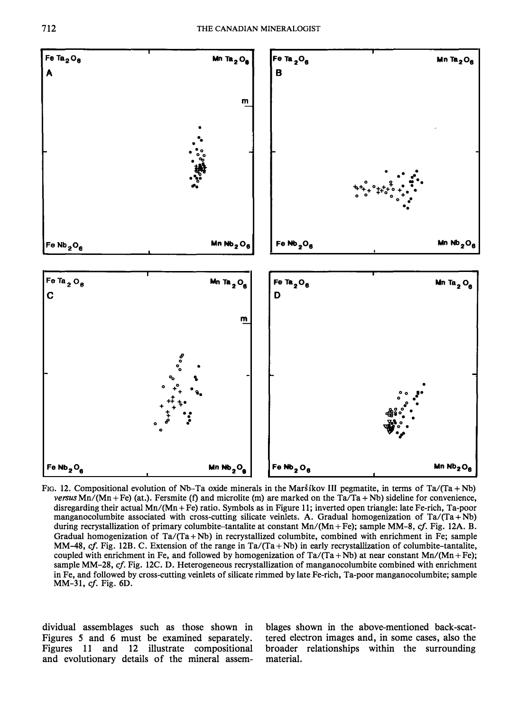

FIG. 12. Compositional evolution of Nb-Ta oxide minerals in the Marstkov III pegmatite, in terms of Ta/(Ta + Nb) versus Mn/(Mn + Fe) (at.). Fersmite (f) and microlite (m) are marked on the Ta/Ta + Nb) sideline for convenience, disregarding their actual Mn/(Mn + Fe) ratio. Symbols as in Figure 11; inverted open triangle: late Fe-rich, Ta-poor manganocolumbite associated with cross-cutting silicate veinlets. A. Gradual homogenization of  $Ta/(Ta + Nb)$ during recrystallization of primary columbite-tantalite at constant Mn/(Mn + Fe); sample MM-8, cf. Fig. 12A. B. Gradual homogenization of  $Ta/(Ta + Nb)$  in recrystallized columbite, combined with enrichment in Fe; sample MM-48, cf. Fig. 12B. C. Extension of the range in  $Ta/(Ta + Nb)$  in early recrystallization of columbite-tantalite, coupled with enrichment in Fe, and followed by homogenization of  $Ta/(Ta + Nb)$  at near constant Mn/(Mn + Fe); sample MM-28, cf. Fig. 12C. D. Heterogeneous recrystallization of manganocolumbite combined with enrichment in Fe, and followed by cross-cutting veinlets of silicate rimmed by late Pe-rich, Ta-poor manganocolumbite; sample MM-31, cf. Fig. 6D.

dividual assemblages such as those shown in Figures 5 and 6 must be examined separately. Figures 11 and 12 illustrate compositional and evolutionary details of the mineral assem-

blages shown in the above-mentioned back-scattered electron images and, in some cases, also the broader relationships within the surrounding material.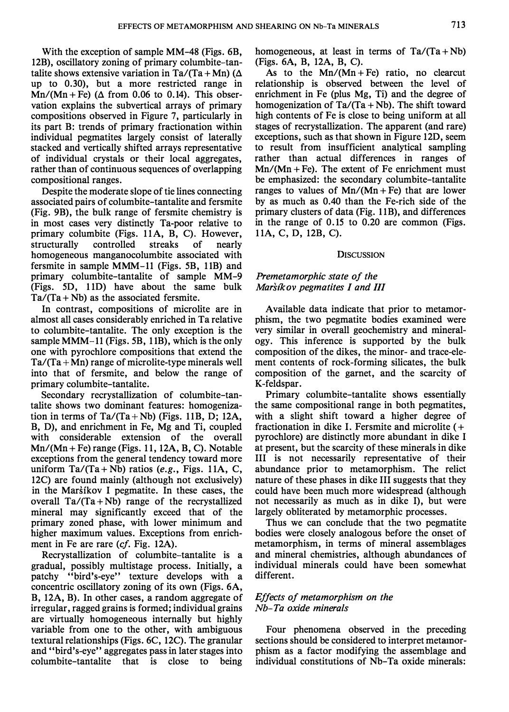With the exception of sample MM-48 (Figs. 6B, 12B), oscillatory zoning of primary columbite-tantalite shows extensive variation in Ta/(Ta + Mn) ( $\Delta$ up to 0.30), but a more restricted range in  $Mn/(Mn + Fe)$  ( $\Delta$  from 0.06 to 0.14). This observation explains the subvertical arrays of primary compositions observed in Figure 7, particularly in its part B: trends of primary fractionation within individual pegmatites largely consist of laterally stacked and vertically shifted arrays representative of individual crystals or their local aggregates, rather than of continuous sequences of overlapping compositional ranges.

Despite the moderate slope of tie lines connecting associated pairs of columbite-tantalite and fersmite (Fig. 9B), the bulk range of fersmite chemistry is in most cases very distinctly Ta-poor relative to primary columbite (Figs. 11A, B, C). However, structurally controlled streaks of nearly homogeneous manganocolumbite associated with fersmite in sample MMM-11 (Figs. 5B, 11B) and primary columbite-tantalite of sample MM-9 (Figs. 5D, 11D) have about the same bulk  $Ta/(Ta + Nb)$  as the associated fersmite.

In contrast, compositions of microlite are in almost all cases considerably enriched in Ta relative to columbite-tantalite. The only exception is the sample MMM-11 (Figs. 5B, 11B), which is the only one with pyrochlore compositions that extend the  $Ta/(Ta+Mn)$  range of microlite-type minerals well into that of fersmite, and below the range of primary columbite-tantalite.

Secondary recrystallization of columbite-tantalite shows two dominant features: homogenization in terms of  $Ta/(Ta + Nb)$  (Figs. 11B, D; 12A, B, D), and enrichment in Fe, Mg and Ti, coupled with considerable extension of the overall  $Mn/(Mn + Fe)$  range (Figs. 11, 12A, B, C). Notable exceptions from the general tendency toward more uniform  $Ta/(Ta + Nb)$  ratios (e.g., Figs. 11A, C, 12C) are found mainly (although not exclusively) in the Marstkov I pegmatite. In these cases, the overall  $Ta/(Ta + Nb)$  range of the recrystallized mineral may significantly exceed that of the primary zoned phase, with lower minimum and higher maximum values. Exceptions from enrichment in Fe are rare (cf. Fig. 12A).

Recrystallization of columbite-tantalite is a gradual, possibly multistage process. Initially, a patchy "bird's-eye" texture develops with a concentric oscillatory zoning of its own (Figs. 6A, B, 12A, B). In other cases, a random aggregate of irregular, ragged grains is formed; individual grains are virtually homogeneous internally but highly variable from one to the other, with ambiguous textural relationships (Figs. 6C, 12C). The granular and "bird's-eye" aggregates pass in later stages into columbite-tantalite that is close to being

homogeneous, at least in terms of  $Ta/(Ta + Nb)$ (Figs. 6A, B, 12A, B, C).

As to the  $Mn/(Mn + Fe)$  ratio, no clearcut relationship is observed between the level of enrichment in Fe (plus Mg, Ti) and the degree of homogenization of  $Ta/(Ta + Nb)$ . The shift toward high contents of Fe is close to being uniform at all stages of recrystallization. The apparent (and rare) exceptions, such as that shown in Figure 12D, seem to result from insufficient analytical sampling rather than actual differences in ranges of  $Mn/(Mn + Fe)$ . The extent of Fe enrichment must be emphasized: the secondary columbite-tantalite ranges to values of  $Mn/(Mn + Fe)$  that are lower by as much as 0.40 than the Fe-rich side of the primary clusters of data (Fig. 11B), and differences in the range of 0.15 to 0.20 are common (Figs. 1 1A, C, D, 12B, C).

#### **DISCUSSION**

### Premetamorphic state of the Marstkov pegmatites I and III

Available data indicate that prior to metamorphism, the two pegmatite bodies examined were very similar in overall geochemistry and mineralogy. This inference is supported by the bulk composition of the dikes, the minor- and trace-element contents of rock-forming silicates, the bulk composition of the garnet, and the scarcity of K-feldspar.

Primary columbite-tantalite shows essentially the same compositional range in both pegmatites, with a slight shift toward a higher degree of fractionation in dike I. Fersmite and microlite  $( + )$ pyrochlore) are distinctly more abundant in dike I at present, but the scarcity of these minerals in dike III is not necessarily representative of their abundance prior to metamorphism. The relict nature of these phases in dike III suggests that they could have been much more widespread (although not necessarily as much as in dike I), but were largely obliterated by metamorphic processes.

Thus we can conclude that the two pegmatite bodies were closely analogous before the onset of metamorphism, in terms of mineral assemblages and mineral chemistries, although abundances of individual minerals could have been somewhat different.

# Effects of metamorphism on the Nb-Ta oxide minerals

Four phenomena observed in the preceding sections should be considered to interpret metamorphism as a factor modifying the assemblage and individual constitutions of Nb-Ta oxide minerals: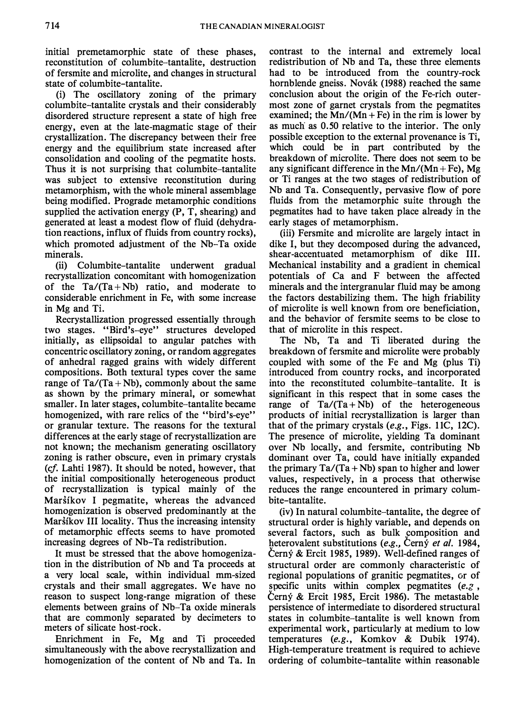initial premetamorphic state of these phases, reconstitution of columbite-tantalite, destruction of fersmite and microlite, and changes in structural state of columbite-tantalite.

(i) The oscillatory zoning of the primary columbite-tantalite crystals and their considerably disordered structure represent a state of high free energy, even at the late-magmatic stage of their crystallization. The discrepancy between their free energy and the equilibrium state increased after consolidation and cooling of the pegmatite hosts. Thus it is not surprising that columbite-tantalite was subject to extensive reconstitution during metamorphism, with the whole mineral assemblage being modified. Prograde metamorphic conditions supplied the activation energy (P, T, shearing) and generated at least a modest flow of fluid (dehydration reactions, influx of fluids from country rocks), which promoted adjustment of the Nb-Ta oxide minerals.

(ii) Columbite-tantalite underwent gradual recrystallization concomitant with homogenization of the  $Ta/(Ta+Nb)$  ratio, and moderate to considerable enrichment in Fe, with some increase in Mg and Ti.

Recrystallization progressed essentially through two stages. "Bird's-eye" structures developed initially, as ellipsoidal to angular patches with concentric oscillatory zoning, or random aggregates of anhedral ragged grains with widely different compositions. Both textural types cover the same range of  $Ta/(Ta + Nb)$ , commonly about the same as shown by the primary mineral, or somewhat smaller. In later stages, columbite-tantalite became homogenized, with rare relics of the "bird's-eve" or granular texture. The reasons for the textural differences at the early stage of recrystallization are not known; the mechanism generating oscillatory zoning is rather obscure, even in primary crystals (cf. Lahti 1987). It should be noted, however, that the initial compositionally heterogeneous product of recrystallization is typical mainly of the Marsikov I pegmatite, whereas the advanced homogenization is observed predominantly at the Marstkov III locality. Thus the increasing intensity of metamorphic effects seems to have promoted increasing degrees of Nb-Ta redistribution.

It must be stressed that the above homogenization in the distribution of Nb and Ta proceeds at a very local scale, within individual mm-sized crystals and their small aggregates. We have no reason to suspect long-range migration of these elements between grains of Nb-Ta oxide minerals that are commonly separated by decimeters to meters of silicate host-rock.

Enrichment in Fe, Mg and Ti proceeded simultaneously with the above recrystallization and homogenization of the content of Nb and Ta. In

contrast to the internal and extremely local redistribution of Nb and Ta, these three elements had to be introduced from the country-rock hornblende gneiss. Novák (1988) reached the same conclusion about the origin of the Fe-rich outermost zone of garnet crystals from the pegmatites examined; the  $Mn/(Mn + Fe)$  in the rim is lower by as much as 0.50 relative to the interior. The only possible exception to the external provenance is Ti, which could be in part contributed by the breakdown of microlite. There does not seem to be any significant difference in the  $Mn/(Mn + Fe)$ , Mg or Ti ranges at the two stages of redistribution of Nb and Ta. Consequently, pervasive flow of pore fluids from the metamorphic suite through the pegmatites had to have taken place already in the early stages of metamorphism.

(iii) Fersmite and microlite are largely intact in dike I, but they decomposed during the advanced, shear-accentuated metamorphism of dike III. Mechanical instability and a gradient in chemical potentials of Ca and F between the affected minerals and the intergranular fluid may be among the factors destabilizing them. The high friability of microlite is well known from ore beneficiation, and the behavior of fersmite seems to be close to that of microlite in this respect.

The Nb, Ta and Ti liberated during the breakdown of fersmite and microlite were probably coupled with some of the Fe and Mg (plus Ti) introduced from country rocks, and incorporated into the reconstituted columbite-tantalite. It is significant in this respect that in some cases the range of  $Ta/(Ta + Nb)$  of the heterogeneous products of initial recrystallization is larger than that of the primary crystals (e.g., Figs. 11C, 12C). The presence of microlite, yielding Ta dominant over Nb locally, and fersmite, contributing Nb dominant over Ta, could have initially expanded the primary  $Ta/(Ta + Nb)$  span to higher and lower values, respectively, in a process that otherwise reduces the range encountered in primary columbite-tantalite.

(iv) In natural columbite-tantalite, the degree of structural order is highly variable, and depends on several factors, such as bulk composition and heterovalent substitutions (e.g., Cerný et al. 1984, Cerný & Ercit 1985, 1989). Well-defined ranges of structural order are commonly characteristic of regional populations of granitic pegmatites, or of specific units within complex pegmatites  $(e, z)$ , Cerný & Ercit 1985, Ercit 1986). The metastable persistence of intermediate to disordered structural states in columbite-tantalite is well known from experimental work, particularly at medium to low temperatures (e.g., Komkov & Dubik 1974). High-temperature treatment is required to achieve ordering of columbite-tantalite within reasonable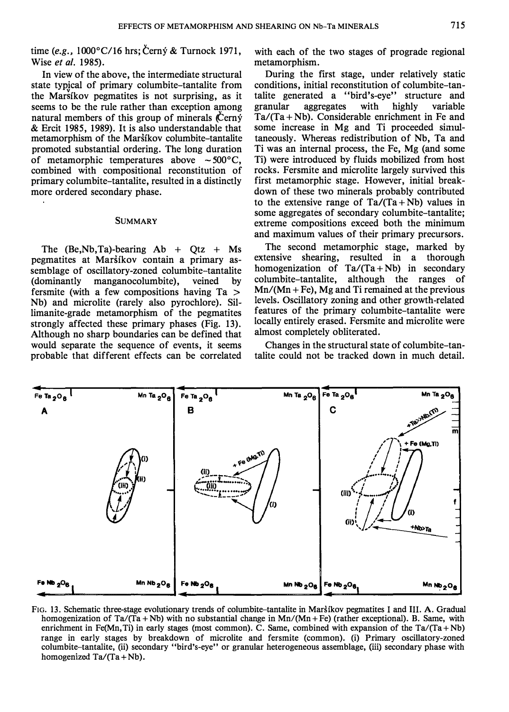time (e.g.,  $1000^{\circ}$ C/16 hrs; Černý & Turnock 1971, Wise et al. 1985).

In view of the above, the intermediate structural state typical of primary columbite-tantalite from the Marsikov pegmatites is not surprising, as it seems to be the rule rather than exception among natural members of this group of minerals  $\acute{C}$ ern $\acute{y}$ & Ercit 1985, 1989). It is also understandable that metamorphism of the Marsikov columbite-tantalite promoted substantial ordering. The long duration of metamorphic temperatures above  $\sim 500^{\circ}$ C, combined with compositional reconstitution of primary columbite-tantalite, resulted in a distinctly more ordered secondary phase.

#### **SUMMARY**

The  $(Be, Nb, Ta)$ -bearing  $Ab + Qt + Ms$ pegmatites at Marstkov contain a primary assemblage of oscillatory-zoned columbite-tantalite (dominantly manganocolumbite), veined by fersmite (with a few compositions having Ta > Nb) and microlite (rarely also pyrochlore). Sillimanite-grade metamorphism of the pegmatites strongly affected these primary phases (Fig. 13). Although no sharp boundaries can be defined that would separate the sequence of events, it seems probable that different effects can be correlated

with each of the two stages of prograde regional metamorphism.

During the first stage, under relatively static conditions, initial reconstitution of columbite-tantalite generated a "bird's-eye" structure and granular aggregates with highly variable  $Ta/(Ta + Nb)$ . Considerable enrichment in Fe and some increase in Mg and Ti proceeded simultaneously. Whereas redistribution of Nb, Ta and Ti was an internal process, the Fe, Mg (and some Ti) were introduced by fluids mobilized from host rocks. Fersmite and microlite largely survived this first metamorphic stage. However, initial breakdown of these two minerals probably contributed to the extensive range of  $Ta/(Ta + Nb)$  values in some aggregates of secondary columbite-tantalite; extreme compositions exceed both the minimum and maximum values of their primary precursors.

The second metamorphic stage, marked by extensive shearing, resulted in a thorough homogenization of  $Ta/(Ta + Nb)$  in secondary columbite-tantalite, although the ranges of  $Mn/(Mn + Fe)$ , Mg and Ti remained at the previous levels. Oscillatory zoning and other growth-related features of the primary columbite-tantalite were locally entirely erased. Fersmite and microlite were almost completely obliterated.

Changes in the structural state of columbite-tantalite could not be tracked down in much detail.



FIG. 13 . Schematic three-stage evolutionary trends of columbite-tantalite in Marsikov pegmatites I and III. A. Gradual homogenization of Ta/(Ta + Nb) with no substantial change in  $Mn/(Mn + Fe)$  (rather exceptional). B. Same, with enrichment in Fe(Mn, Ti) in early stages (most common). C. Same, combined with expansion of the Ta/(Ta + Nb) range in early stages by breakdown of microlite and fersmite (common). (i) Primary oscillatory-zoned columbite-tantalite, (ii) secondary "bird's-eye" or granular heterogeneous assemblage, (iii) secondary phase with homogenized  $Ta/(Ta + Nb)$ .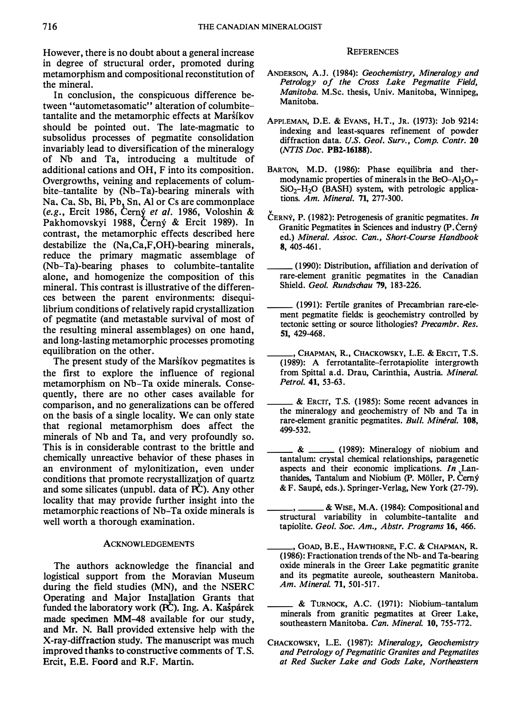However, there is no doubt about a general increase in degree of structural order, promoted during metamorphism and compositional reconstitution of the mineral.

In conclusion, the conspicuous difference between "autometasomatic" alteration of columbitetantalite and the metamorphic effects at Maršíkov should be pointed out. The late-magmatic to subsolidus processes of pegmatite consolidation invariably lead to diversification of the mineralogy of Nb and Ta, introducing a multitude of additional cations and OH, F into its composition. Overgrowths, veining and replacements of columbite-tantalite by (Nb-Ta)-bearing minerals with Na, Ca, Sb, Bi, Pb, Sn, Al or Cs are commonplace (e.g., Ercit 1986, Černý et al. 1986, Voloshin & Pakhomovskyi 1988, Černý & Ercit 1989). In contrast, the metamorphic effects described here destabilize the (Na,Ca,F,OH)-bearing minerals, reduce the primary magmatic assemblage of (Nb-Ta)-bearing phases to columbite-tantalite alone, and homogenize the composition of this mineral. This contrast is illustrative of the differences between the parent environments: disequilibrium conditions of relatively rapid crystallization of pegmatite (and metastable survival of most of the resulting mineral assemblages) on one hand, and long-lasting metamorphic processes promoting equilibration on the other.

The present study of the Marstkov pegmatites is the first to explore the influence of regional metamorphism on Nb-Ta oxide minerals. Consequently, there are no other cases available for comparison, and no generalizations can be offered on the basis of a single locality. We can only state that regional metamorphism does affect the minerals of Nb and Ta, and very profoundly so. This is in considerable contrast to the brittle and chemically unreactive behavior of these phases in an environment of mylonitization, even under conditions that promote recrystallization of quartz and some silicates (unpubl. data of  $PC$ ). Any other locality that may provide further insight into the metamorphic reactions of Nb-Ta oxide minerals is well worth a thorough examination.

### ACKNOWLEDGEMENTS

The authors acknowledge the financial and logistical support from the Moravian Museum during the field studies (MN), and the NSERC Operating and Major Installation Grants that funded the laboratory work (PC). Ing. A. Kasparek made specimen MM--48 available for our study, and Mr. N. Ball provided extensive help with the X-ray-diffraction study. The manuscript was much improved thanks to constructive comments of T. S. Breit, B.B. Foord and R.F. Martin.

#### **REFERENCES**

- ANDERSON, A.J. (1984): Geochemistry, Mineralogy and Petrology of the Cross Lake Pegmatite Field, Manitoba. M.Sc. thesis, Univ. Manitoba, Winnipeg, Manitoba.
- APPLEMAN, D.E. & EVANS, H.T., JR. (1973): Job 9214: indexing and least-squares refinement of powder diffraction data. U.S. Geol. Surv., Comp. Contr. 20 (NTIS Doc. PB2-16188).
- BARTON, M.D. (1986): Phase equilibria and thermodynamic properties of minerals in the BeO-Al<sub>2</sub>O<sub>2</sub>- $SiO<sub>2</sub>-H<sub>2</sub>O$  (BASH) system, with petrologic applications. Am. Mineral. 71, 277-300.
- ČERNÝ, P. (1982): Petrogenesis of granitic pegmatites. In Granitic Pegmatites in Sciences and industry (P. Cerny ed.) Mineral. Assoc. Can., Short-Course Handbook 8, 405-461.
- \_\_ (1990): Distribution, affiliation and derivation of rare-element granitic pegmatites in the Canadian Shield. Geol. Rundschau 79, 183-226.
- \_\_ (1991): Fertile granites of Precambrian rare-element pegmatite fields: is geochemistry controlled by tectonic setting or source lithologies? Precambr. Res. 51, 429-468.
- CHAPMAN, R., CHACKOWSKY, L.E. & ERCIT, T.S. (1989): A ferrotantalite-ferrotapiolite intergrowth from Spittal a.d. Drau, Carinthia, Austria. Mineral. Petrol. 41, 53-63.
- \_\_ & ERcrr, T.S. (1985): Some recent advances in the mineralogy and geochemistry of Nb and Ta in rare-element granitic pegmatites. Bull. Minéral. 108, 499-532.
- $\&$  \_\_\_\_\_\_\_\_ (1989): Mineralogy of niobium and tantalum: crystal chemical relationships, paragenetic aspects and their economic implications. In Lanthanides, Tantalum and Niobium (P. Möller, P. Cerný & F. Saupe, eds.). Springer-Verlag, New York (27-79).
- \_\_ , \_\_ & WISE, M.A. (1984): Compositional and structural variability in columbite-tantalite and tapiolite. Geol. Soc. Am., Abstr. Programs 16, 466.
- \_\_ , GOAD, B.E., HAWTHORNE, F.C. & CHAPMAN, R. (1986): Fractionation trends of the Nb- and Ta-bearing oxide minerals in the Greer Lake pegmatitic granite and its pegmatite aureole, southeastern Manitoba. Am. Mineral. 71, 501-517.
- \_\_ & TURNOCK, A.C. (1971): Niobium-tantalum minerals from granitic pegmatites at Greer Lake, southeastern Manitoba. Can. Mineral. 10, 755-772.
- CHACKOWSKY, L.E. (1987): Mineralogy, Geochemistry and Petrology of Pegmatitic Granites and Pegmatites at Red Sucker Lake and Gods Lake, Northeastern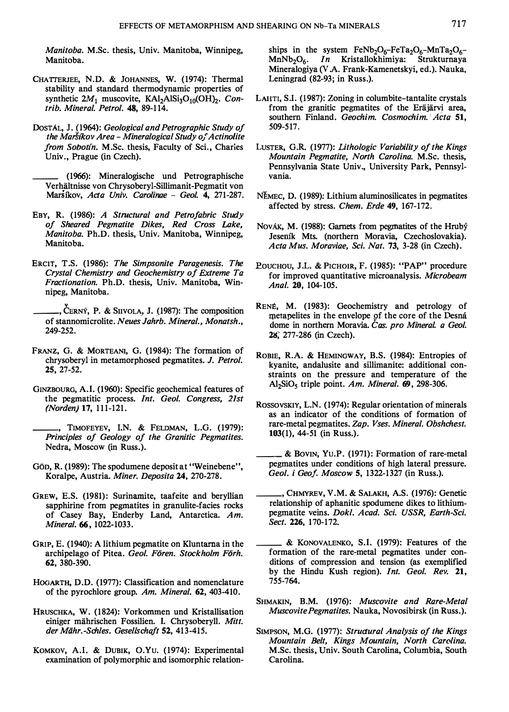Manitoba. M.Sc. thesis, Univ. Manitoba, Winnipeg, Manitoba.

- CHATTERJEE, N.D. & JOHANNES, W. (1974): Thermal stability and standard thermodynamic properties of synthetic  $2M_1$  muscovite, KAl<sub>2</sub>AlSi<sub>3</sub>O<sub>10</sub>(OH)<sub>2</sub>. Contrib. Mineral. Petrol. 48, 89-114.
- DosTAL, J. (1964): Geological and Petrographic Study of the Marsikov Area - Mineralogical Study of Actinolite from Sobotin. M.Sc. thesis, Faculty of Sci., Charies Univ., Prague (in Czech).

\_\_ (1966): Mineralogische und Petrographische Verhältnisse von Chrysoberyl-Sillimanit-Pegmatit von Marsikov, Acta Univ. Carolinae - Geol. 4, 271-287.

- EBY, R. (1986): A Structural and Petrofabric Study of Sheared Pegmatite Dikes, Red Cross Lake, Manitoba. Ph.D. thesis, Univ. Manitoba, Winnipeg, Manitoba.
- ERCIT, T.S. (1986): The Simpsonite Paragenesis. The Crystal Chemistry and Geochemistry of Extreme Ta Fractionation. Ph.D. thesis, Univ. Manitoba, Winnipeg, Manitoba.
- , CERNÝ, P. & SIIVOLA, J. (1987): The composition of stannomicrolite. Neues Jahrb. Mineral., Monatsh., 249-252.
- FRANZ, G. & MORTEANI, G. (1984): The formation of chrysoberyl in metamorphosed pegmatites. J. Petrol. 25, 27-52.
- GINZBOURG, A.I. (1960): Specific geochemical features of the pegmatitic process. Int. Geol. Congress, 21st (Norden) 17, 111-121.
	- , TIMOFEYEV, I.N. & FELDMAN, L.G. (1979): Principles of Geology of the Granitic Pegmatites. Nedra, Moscow (in Russ.).
- GÖD, R. (1989): The spodumene deposit at "Weinebene", Koralpe, Austria. Miner. Deposita 24, 270-278.
- GREW, E.S. (1981): Surinamite, taafeite and beryllian sapphirine from pegmatites in granulite-facies rocks of Casey Bay, Enderby Land, Antarctica. Am. Mineral. 66, 1022-1033.
- GRIP, E. (1940): A lithium pegmatite on Kluntarna in the archipelago of Pitea. Geol. Fören. Stockholm Förh. 62, 380-390.
- HOGARTH, D.D. (1977): Classification and nomenclature of the pyrochlore group. Am. Mineral. 62, 403-410.
- HRUSCHKA, W. (1824): Vorkommen und Kristallisation einiger mährischen Fossilien. I. Chrysoberyll. Mitt. der Mähr.-Schles. Gesellschaft 52, 413-415.
- KOMKOV, A.I. & DUBIK, O.Yu. (1974): Experimental examination of polymorphic and isomorphic relation-

ships in the system  $FeNb<sub>2</sub>O<sub>6</sub>-FeTa<sub>2</sub>O<sub>6</sub>-MnTa<sub>2</sub>O<sub>6</sub>-  
ManNb<sub>2</sub>O<sub>6</sub>$ . *In* Kristallokhimiya: Strukturnaya In Kristallokhimiya: Strukturnaya Mineralogiya (V .A. Frank-Kamenetskyi, ed.). Nauka, Leningrad (82-93; in Russ.).

- LAHTI, S.I. (1987): Zoning in columbite-tantalite crystals from the granitic pegmatites of the Eräjärvi area, southern Finland. Geochim. Cosmochim. Acta 51, 509-517.
- LUSTER, G.R. (1977): Lithologic Variability of the Kings Mountain Pegmatite, North Carolina. M.Sc. thesis, Pennsylvania State Univ., University Park, Pennsylvania.
- <sup>N</sup>EMEC, D. (1989): Lithium aluminosilicates in pegmatites affected by stress. Chern. Erde 49, 167-172.
- NovÁK, M. (1988): Garnets from pegmatites of the Hrubý Jesem'k Mts. (northern Moravia, Czechoslovakia). Acta Mus. Moraviae, Sci. Nat. 73, 3-28 (in Czech).
- POUCHOU, J.L. & PICHOIR, F. (1985): "PAP" procedure for improved quantitative microanalysis. Microbeam Anal. 20, 104-105.
- RENE, M. (1983): Geochemistry and petrology of metapelites in the envelope of the core of the Desna dome in northern Moravia. Cas. pro Mineral. a Geol. 28, 277-286 (in Czech).
- ROBIE, R.A. & HEMINGWAY, B.S. (1984): Entropies of kyanite, andalusite and sillimanite: additional constraints on the pressure and temperature of the Al<sub>2</sub>SiO<sub>5</sub> triple point. Am. Mineral.  $69$ , 298-306.
- ROSSOVSKIY, L.N. (1974): Regular orientation of minerals as an indicator of the conditions of formation of rare-metal pegmatites. Zap. Vses. Mineral. Obshchest. 103(1), 44-51 (in Russ.).
- \_\_ & BoVIN, Yu.P . (1971): Formation of rare-metal pegmatites under conditions of high lateral pressure. Geol. i Geof. Moscow 5, 1322-1327 (in Russ.).
- \_\_ , CHMYREV, V.M. & SALAKH, A.S. (1976): Genetic relationship of aphanitic spodumene dikes to lithiumpegmatite veins. Dokl. Acad. Sci. USSR, Earth-Sci. Sect. 226, 170-172.
- \_\_ & KoNOVALENKO, S.I. (1979): Features of the formation of the rare-metal pegmatites under conditions of compression and tension (as exemplified by the Hindu Kush region). Int. Geol. Rev. 21, 755-764.
- SHMAKIN, B.M. (1976): Muscovite and Rare-Metal Muscovite Pegmatites. Nauka, Novosibirsk (in Russ.).
- SIMPSON, M.G. (1977): Structural Analysis of the Kings Mountain Belt, Kings Mountain, North Carolina. M.Sc. thesis, Univ. South Carolina, Columbia, South Carolina.